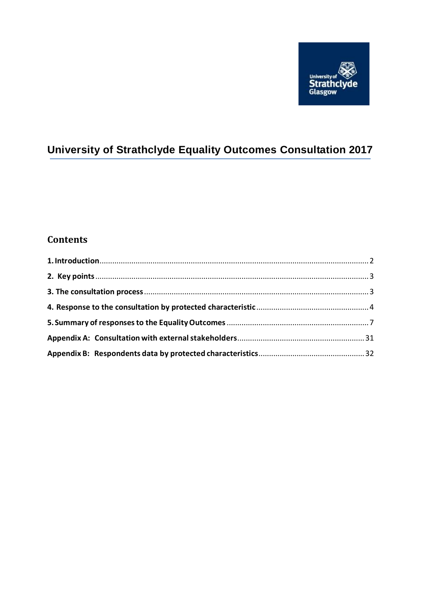

# **University of Strathclyde Equality Outcomes Consultation 2017**

## **Contents**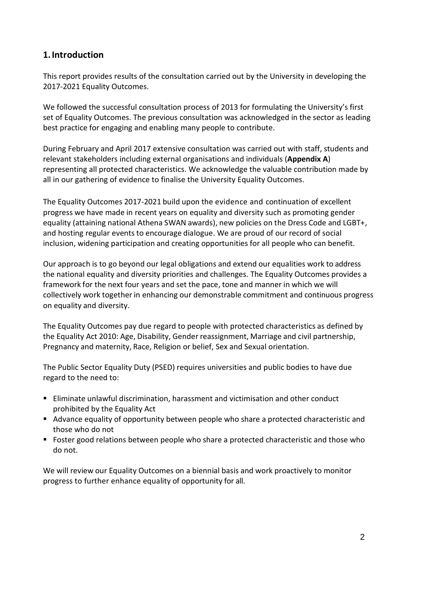### <span id="page-1-0"></span>**1.Introduction**

This report provides results of the consultation carried out by the University in developing the 2017-2021 Equality Outcomes.

We followed the successful consultation process of 2013 for formulating the University's first set of Equality Outcomes. The previous consultation was acknowledged in the sector as leading best practice for engaging and enabling many people to contribute.

During February and April 2017 extensive consultation was carried out with staff, students and relevant stakeholders including external organisations and individuals (**Appendix A**) representing all protected characteristics. We acknowledge the valuable contribution made by all in our gathering of evidence to finalise the University Equality Outcomes.

The Equality Outcomes 2017-2021 build upon the evidence and continuation of excellent progress we have made in recent years on equality and diversity such as promoting gender equality (attaining national Athena SWAN awards), new policies on the Dress Code and LGBT+, and hosting regular events to encourage dialogue. We are proud of our record of social inclusion, widening participation and creating opportunities for all people who can benefit.

Our approach is to go beyond our legal obligations and extend our equalities work to address the national equality and diversity priorities and challenges. The Equality Outcomes provides a framework for the next four years and set the pace, tone and manner in which we will collectively work together in enhancing our demonstrable commitment and continuous progress on equality and diversity.

The Equality Outcomes pay due regard to people with protected characteristics as defined by the Equality Act 2010: Age, Disability, Gender reassignment, Marriage and civil partnership, Pregnancy and maternity, Race, Religion or belief, Sex and Sexual orientation.

The Public Sector Equality Duty (PSED) requires universities and public bodies to have due regard to the need to:

- Eliminate unlawful discrimination, harassment and victimisation and other conduct prohibited by the Equality Act
- Advance equality of opportunity between people who share a protected characteristic and those who do not
- **F** Foster good relations between people who share a protected characteristic and those who do not.

We will review our Equality Outcomes on a biennial basis and work proactively to monitor progress to further enhance equality of opportunity for all.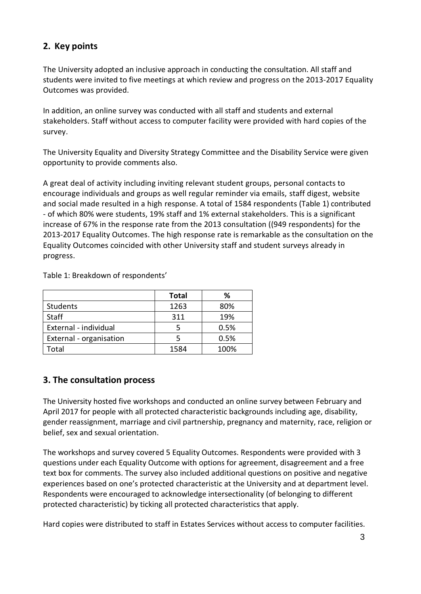## <span id="page-2-0"></span>**2. Key points**

The University adopted an inclusive approach in conducting the consultation. All staff and students were invited to five meetings at which review and progress on the 2013-2017 Equality Outcomes was provided.

In addition, an online survey was conducted with all staff and students and external stakeholders. Staff without access to computer facility were provided with hard copies of the survey.

The University Equality and Diversity Strategy Committee and the Disability Service were given opportunity to provide comments also.

A great deal of activity including inviting relevant student groups, personal contacts to encourage individuals and groups as well regular reminder via emails, staff digest, website and social made resulted in a high response. A total of 1584 respondents (Table 1) contributed - of which 80% were students, 19% staff and 1% external stakeholders. This is a significant increase of 67% in the response rate from the 2013 consultation ((949 respondents) for the 2013-2017 Equality Outcomes. The high response rate is remarkable as the consultation on the Equality Outcomes coincided with other University staff and student surveys already in progress.

Table 1: Breakdown of respondents'

|                         | <b>Total</b> | ℅    |
|-------------------------|--------------|------|
| <b>Students</b>         | 1263         | 80%  |
| <b>Staff</b>            | 311          | 19%  |
| External - individual   |              | 0.5% |
| External - organisation |              | 0.5% |
| Total                   | 1584         | 100% |

### <span id="page-2-1"></span>**3. The consultation process**

The University hosted five workshops and conducted an online survey between February and April 2017 for people with all protected characteristic backgrounds including age, disability, gender reassignment, marriage and civil partnership, pregnancy and maternity, race, religion or belief, sex and sexual orientation.

The workshops and survey covered 5 Equality Outcomes. Respondents were provided with 3 questions under each Equality Outcome with options for agreement, disagreement and a free text box for comments. The survey also included additional questions on positive and negative experiences based on one's protected characteristic at the University and at department level. Respondents were encouraged to acknowledge intersectionality (of belonging to different protected characteristic) by ticking all protected characteristics that apply.

Hard copies were distributed to staff in Estates Services without access to computer facilities.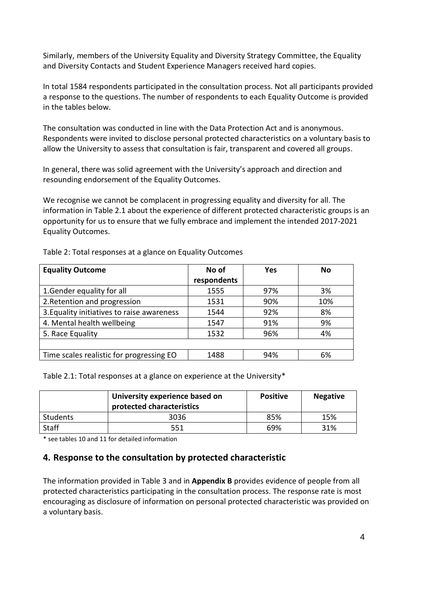Similarly, members of the University Equality and Diversity Strategy Committee, the Equality and Diversity Contacts and Student Experience Managers received hard copies.

In total 1584 respondents participated in the consultation process. Not all participants provided a response to the questions. The number of respondents to each Equality Outcome is provided in the tables below.

The consultation was conducted in line with the Data Protection Act and is anonymous. Respondents were invited to disclose personal protected characteristics on a voluntary basis to allow the University to assess that consultation is fair, transparent and covered all groups.

In general, there was solid agreement with the University's approach and direction and resounding endorsement of the Equality Outcomes.

We recognise we cannot be complacent in progressing equality and diversity for all. The information in Table 2.1 about the experience of different protected characteristic groups is an opportunity for us to ensure that we fully embrace and implement the intended 2017-2021 Equality Outcomes.

| <b>Equality Outcome</b>                    | No of       | Yes | No  |
|--------------------------------------------|-------------|-----|-----|
|                                            | respondents |     |     |
| 1. Gender equality for all                 | 1555        | 97% | 3%  |
| 2. Retention and progression               | 1531        | 90% | 10% |
| 3. Equality initiatives to raise awareness | 1544        | 92% | 8%  |
| 4. Mental health wellbeing                 | 1547        | 91% | 9%  |
| 5. Race Equality                           | 1532        | 96% | 4%  |
|                                            |             |     |     |
| Time scales realistic for progressing EO   | 1488        | 94% | 6%  |

Table 2: Total responses at a glance on Equality Outcomes

Table 2.1: Total responses at a glance on experience at the University\*

| University experience based on<br>protected characteristics |      | <b>Positive</b> | <b>Negative</b> |
|-------------------------------------------------------------|------|-----------------|-----------------|
| Students                                                    | 3036 | 85%             | 15%             |
| <b>Staff</b>                                                | 551  | 69%             | 31%             |

<span id="page-3-0"></span>\* see tables 10 and 11 for detailed information

### **4. Response to the consultation by protected characteristic**

The information provided in Table 3 and in **Appendix B** provides evidence of people from all protected characteristics participating in the consultation process. The response rate is most encouraging as disclosure of information on personal protected characteristic was provided on a voluntary basis.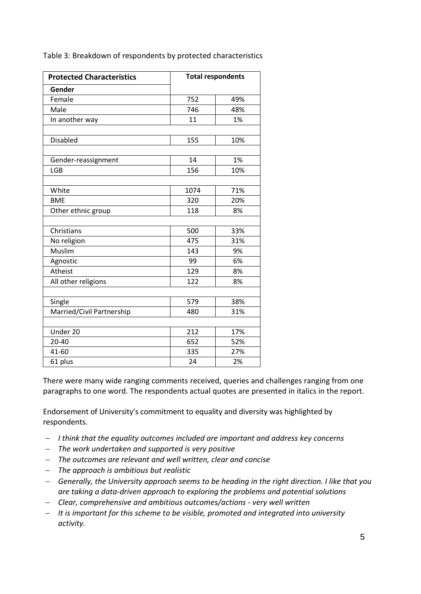Table 3: Breakdown of respondents by protected characteristics

| <b>Protected Characteristics</b> |      | <b>Total respondents</b> |
|----------------------------------|------|--------------------------|
| Gender                           |      |                          |
| Female                           | 752  | 49%                      |
| Male                             | 746  | 48%                      |
| In another way                   | 11   | 1%                       |
|                                  |      |                          |
| <b>Disabled</b>                  | 155  | 10%                      |
|                                  |      |                          |
| Gender-reassignment              | 14   | 1%                       |
| <b>LGB</b>                       | 156  | 10%                      |
|                                  |      |                          |
| White                            | 1074 | 71%                      |
| <b>BME</b>                       | 320  | 20%                      |
| Other ethnic group               | 118  | 8%                       |
| Christians                       | 500  | 33%                      |
| No religion                      | 475  | 31%                      |
| Muslim                           | 143  | 9%                       |
| Agnostic                         | 99   | 6%                       |
| Atheist                          | 129  | 8%                       |
| All other religions              | 122  | 8%                       |
|                                  |      |                          |
| Single                           | 579  | 38%                      |
| Married/Civil Partnership        | 480  | 31%                      |
|                                  |      |                          |
| Under 20                         | 212  | 17%                      |
| $20 - 40$                        | 652  | 52%                      |
| 41-60                            | 335  | 27%                      |
| 61 plus                          | 24   | 2%                       |

There were many wide ranging comments received, queries and challenges ranging from one paragraphs to one word. The respondents actual quotes are presented in italics in the report.

Endorsement of University's commitment to equality and diversity was highlighted by respondents.

- *I think that the equality outcomes included are important and address key concerns*
- *The work undertaken and supported is very positive*
- *The outcomes are relevant and well written, clear and concise*
- *The approach is ambitious but realistic*
- *Generally, the University approach seems to be heading in the right direction. I like that you are taking a data-driven approach to exploring the problems and potential solutions*
- *Clear, comprehensive and ambitious outcomes/actions - very well written*
- *It is important for this scheme to be visible, promoted and integrated into university activity.*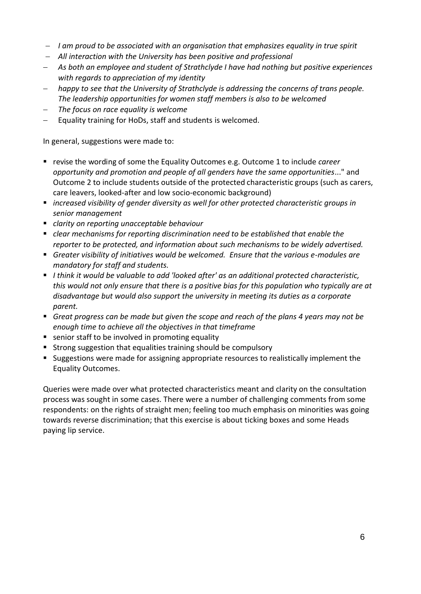- *I am proud to be associated with an organisation that emphasizes equality in true spirit*
- *All interaction with the University has been positive and professional*
- *As both an employee and student of Strathclyde I have had nothing but positive experiences with regards to appreciation of my identity*
- *happy to see that the University of Strathclyde is addressing the concerns of trans people. The leadership opportunities for women staff members is also to be welcomed*
- *The focus on race equality is welcome*
- $\overline{-}$  Equality training for HoDs, staff and students is welcomed.

In general, suggestions were made to:

- revise the wording of some the Equality Outcomes e.g. Outcome 1 to include *career opportunity and promotion and people of all genders have the same opportunities*..." and Outcome 2 to include students outside of the protected characteristic groups (such as carers, care leavers, looked-after and low socio-economic background)
- *increased visibility of gender diversity as well for other protected characteristic groups in senior management*
- *clarity on reporting unacceptable behaviour*
- *clear mechanisms for reporting discrimination need to be established that enable the reporter to be protected, and information about such mechanisms to be widely advertised.*
- *Greater visibility of initiatives would be welcomed. Ensure that the various e-modules are mandatory for staff and students.*
- *I think it would be valuable to add 'looked after' as an additional protected characteristic, this would not only ensure that there is a positive bias for this population who typically are at disadvantage but would also support the university in meeting its duties as a corporate parent.*
- *Great progress can be made but given the scope and reach of the plans 4 years may not be enough time to achieve all the objectives in that timeframe*
- senior staff to be involved in promoting equality
- **Strong suggestion that equalities training should be compulsory**
- Suggestions were made for assigning appropriate resources to realistically implement the Equality Outcomes.

Queries were made over what protected characteristics meant and clarity on the consultation process was sought in some cases. There were a number of challenging comments from some respondents: on the rights of straight men; feeling too much emphasis on minorities was going towards reverse discrimination; that this exercise is about ticking boxes and some Heads paying lip service.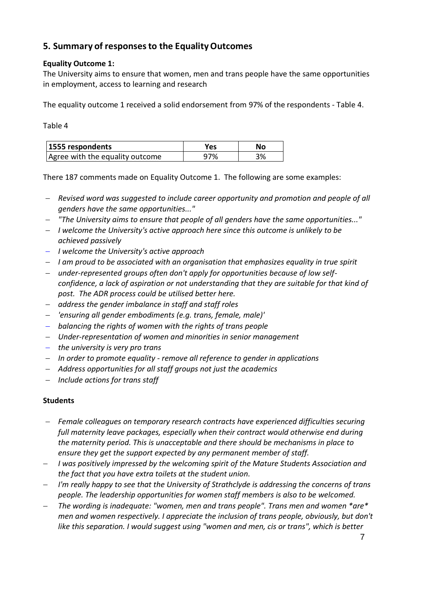## <span id="page-6-0"></span>**5. Summary of responsesto the EqualityOutcomes**

### **Equality Outcome 1:**

The University aims to ensure that women, men and trans people have the same opportunities in employment, access to learning and research

The equality outcome 1 received a solid endorsement from 97% of the respondents - Table 4.

Table 4

| 1555 respondents                | Yes | Nο |
|---------------------------------|-----|----|
| Agree with the equality outcome | 97% | 3% |

There 187 comments made on Equality Outcome 1. The following are some examples:

- *Revised word was suggested to include career opportunity and promotion and people of all genders have the same opportunities..."*
- *"The University aims to ensure that people of all genders have the same opportunities..."*
- *I welcome the University's active approach here since this outcome is unlikely to be achieved passively*
- *I welcome the University's active approach*
- *I am proud to be associated with an organisation that emphasizes equality in true spirit*
- *under-represented groups often don't apply for opportunities because of low selfconfidence, a lack of aspiration or not understanding that they are suitable for that kind of post. The ADR process could be utilised better here.*
- *address the gender imbalance in staff and staff roles*
- *'ensuring all gender embodiments (e.g. trans, female, male)'*
- *balancing the rights of women with the rights of trans people*
- *Under-representation of women and minorities in senior management*
- *the university is very pro trans*
- *In order to promote equality - remove all reference to gender in applications*
- *Address opportunities for all staff groups not just the academics*
- *Include actions for trans staff*

- *Female colleagues on temporary research contracts have experienced difficulties securing full maternity leave packages, especially when their contract would otherwise end during the maternity period. This is unacceptable and there should be mechanisms in place to ensure they get the support expected by any permanent member of staff.*
- *I was positively impressed by the welcoming spirit of the Mature Students Association and the fact that you have extra toilets at the student union.*
- *I'm really happy to see that the University of Strathclyde is addressing the concerns of trans people. The leadership opportunities for women staff members is also to be welcomed.*
- *The wording is inadequate: "women, men and trans people". Trans men and women \*are\* men and women respectively. I appreciate the inclusion of trans people, obviously, but don't like this separation. I would suggest using "women and men, cis or trans", which is better*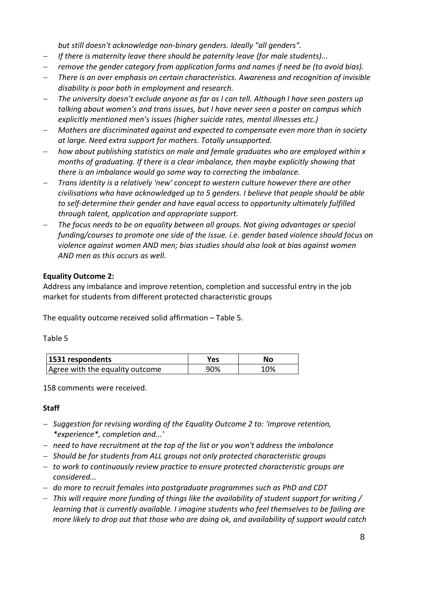*but still doesn't acknowledge non-binary genders. Ideally "all genders".*

- *If there is maternity leave there should be paternity leave (for male students)...*
- *remove the gender category from application forms and names if need be (to avoid bias).*
- *There is an over emphasis on certain characteristics. Awareness and recognition of invisible disability is poor both in employment and research.*
- *The university doesn't exclude anyone as far as I can tell. Although I have seen posters up talking about women's and trans issues, but I have never seen a poster on campus which explicitly mentioned men's issues (higher suicide rates, mental illnesses etc.)*
- *Mothers are discriminated against and expected to compensate even more than in society at large. Need extra support for mothers. Totally unsupported.*
- *how about publishing statistics on male and female graduates who are employed within x months of graduating. If there is a clear imbalance, then maybe explicitly showing that there is an imbalance would go some way to correcting the imbalance.*
- *Trans identity is a relatively 'new' concept to western culture however there are other civilisations who have acknowledged up to 5 genders. I believe that people should be able to self-determine their gender and have equal access to opportunity ultimately fulfilled through talent, application and appropriate support.*
- *The focus needs to be on equality between all groups. Not giving advantages or special funding/courses to promote one side of the issue. i.e. gender based violence should focus on violence against women AND men; bias studies should also look at bias against women AND men as this occurs as well.*

### **Equality Outcome 2:**

Address any imbalance and improve retention, completion and successful entry in the job market for students from different protected characteristic groups

The equality outcome received solid affirmation – Table 5.

#### Table 5

| 1531 respondents                | Yes. | No  |  |
|---------------------------------|------|-----|--|
| Agree with the equality outcome | 90%  | 10% |  |

158 comments were received.

- *Suggestion for revising wording of the Equality Outcome 2 to: 'improve retention, \*experience\*, completion and...'*
- *need to have recruitment at the top of the list or you won't address the imbalance*
- *Should be for students from ALL groups not only protected characteristic groups*
- *to work to continuously review practice to ensure protected characteristic groups are considered...*
- *do more to recruit females into postgraduate programmes such as PhD and CDT*
- *This will require more funding of things like the availability of student support for writing / learning that is currently available. I imagine students who feel themselves to be failing are more likely to drop out that those who are doing ok, and availability of support would catch*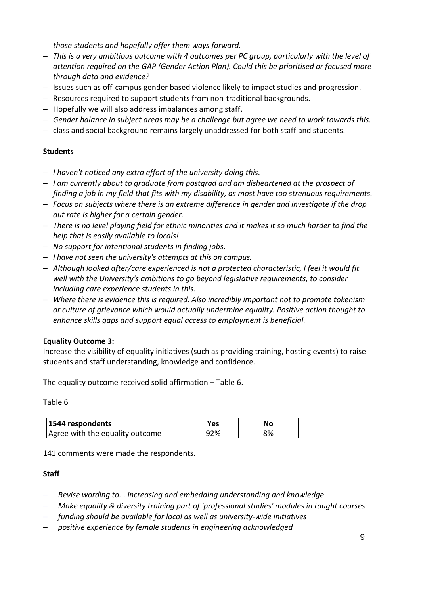*those students and hopefully offer them ways forward.*

- *This is a very ambitious outcome with 4 outcomes per PC group, particularly with the level of attention required on the GAP (Gender Action Plan). Could this be prioritised or focused more through data and evidence?*
- Issues such as off-campus gender based violence likely to impact studies and progression.
- Resources required to support students from non-traditional backgrounds.
- $-$  Hopefully we will also address imbalances among staff.
- *Gender balance in subject areas may be a challenge but agree we need to work towards this.*
- $-$  class and social background remains largely unaddressed for both staff and students.

### **Students**

- *I haven't noticed any extra effort of the university doing this.*
- *I am currently about to graduate from postgrad and am disheartened at the prospect of finding a job in my field that fits with my disability, as most have too strenuous requirements.*
- *Focus on subjects where there is an extreme difference in gender and investigate if the drop out rate is higher for a certain gender.*
- *There is no level playing field for ethnic minorities and it makes it so much harder to find the help that is easily available to locals!*
- *No support for intentional students in finding jobs.*
- *I have not seen the university's attempts at this on campus.*
- *Although looked after/care experienced is not a protected characteristic, I feel it would fit well with the University's ambitions to go beyond legislative requirements, to consider including care experience students in this.*
- *Where there is evidence this is required. Also incredibly important not to promote tokenism or culture of grievance which would actually undermine equality. Positive action thought to enhance skills gaps and support equal access to employment is beneficial.*

### **Equality Outcome 3:**

Increase the visibility of equality initiatives (such as providing training, hosting events) to raise students and staff understanding, knowledge and confidence.

The equality outcome received solid affirmation – Table 6.

Table 6

| 1544 respondents                | Yes | No |  |
|---------------------------------|-----|----|--|
| Agree with the equality outcome | ነን% | 8% |  |

141 comments were made the respondents.

- *Revise wording to... increasing and embedding understanding and knowledge*
- *Make equality & diversity training part of 'professional studies' modules in taught courses*
- *funding should be available for local as well as university-wide initiatives*
- *positive experience by female students in engineering acknowledged*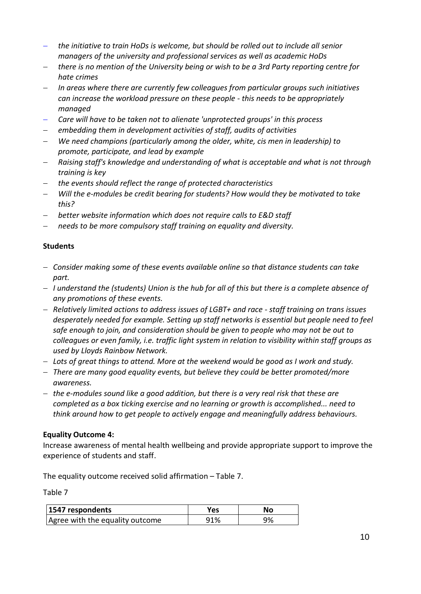- *the initiative to train HoDs is welcome, but should be rolled out to include all senior managers of the university and professional services as well as academic HoDs*
- *there is no mention of the University being or wish to be a 3rd Party reporting centre for hate crimes*
- *In areas where there are currently few colleagues from particular groups such initiatives can increase the workload pressure on these people - this needs to be appropriately managed*
- *Care will have to be taken not to alienate 'unprotected groups' in this process*
- *embedding them in development activities of staff, audits of activities*
- *We need champions (particularly among the older, white, cis men in leadership) to promote, participate, and lead by example*
- *Raising staff's knowledge and understanding of what is acceptable and what is not through training is key*
- *the events should reflect the range of protected characteristics*
- *Will the e-modules be credit bearing for students? How would they be motivated to take this?*
- *better website information which does not require calls to E&D staff*
- *needs to be more compulsory staff training on equality and diversity.*

#### **Students**

- *Consider making some of these events available online so that distance students can take part.*
- *I understand the (students) Union is the hub for all of this but there is a complete absence of any promotions of these events.*
- *Relatively limited actions to address issues of LGBT+ and race - staff training on trans issues desperately needed for example. Setting up staff networks is essential but people need to feel safe enough to join, and consideration should be given to people who may not be out to colleagues or even family, i.e. traffic light system in relation to visibility within staff groups as used by Lloyds Rainbow Network.*
- *Lots of great things to attend. More at the weekend would be good as I work and study.*
- *There are many good equality events, but believe they could be better promoted/more awareness.*
- *the e-modules sound like a good addition, but there is a very real risk that these are completed as a box ticking exercise and no learning or growth is accomplished... need to think around how to get people to actively engage and meaningfully address behaviours.*

#### **Equality Outcome 4:**

Increase awareness of mental health wellbeing and provide appropriate support to improve the experience of students and staff.

The equality outcome received solid affirmation – Table 7.

Table 7

| 1547 respondents                | Yes | No |
|---------------------------------|-----|----|
| Agree with the equality outcome | 91% | 9% |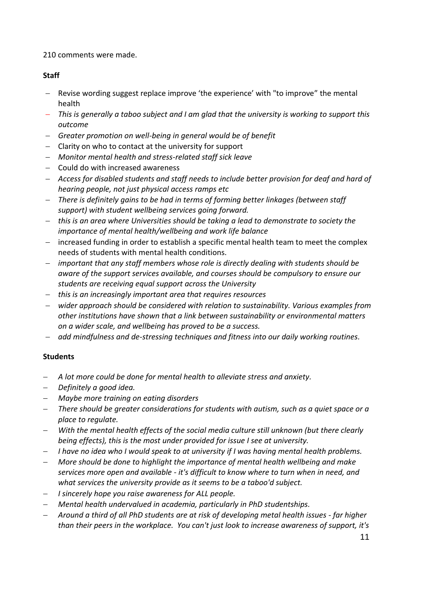210 comments were made.

### **Staff**

- Revise wording suggest replace improve 'the experience' with "to improve" the mental health
- *This is generally a taboo subject and I am glad that the university is working to support this outcome*
- *Greater promotion on well-being in general would be of benefit*
- Clarity on who to contact at the university for support
- *Monitor mental health and stress-related staff sick leave*
- $-$  Could do with increased awareness
- *Access for disabled students and staff needs to include better provision for deaf and hard of hearing people, not just physical access ramps etc*
- *There is definitely gains to be had in terms of forming better linkages (between staff support) with student wellbeing services going forward.*
- *this is an area where Universities should be taking a lead to demonstrate to society the importance of mental health/wellbeing and work life balance*
- increased funding in order to establish a specific mental health team to meet the complex needs of students with mental health conditions.
- *important that any staff members whose role is directly dealing with students should be aware of the support services available, and courses should be compulsory to ensure our students are receiving equal support across the University*
- *this is an increasingly important area that requires resources*
- *wider approach should be considered with relation to sustainability. Various examples from other institutions have shown that a link between sustainability or environmental matters on a wider scale, and wellbeing has proved to be a success.*
- *add mindfulness and de-stressing techniques and fitness into our daily working routines.*

- *A lot more could be done for mental health to alleviate stress and anxiety.*
- *Definitely a good idea.*
- *Maybe more training on eating disorders*
- *There should be greater considerations for students with autism, such as a quiet space or a place to regulate.*
- *With the mental health effects of the social media culture still unknown (but there clearly being effects), this is the most under provided for issue I see at university.*
- *I have no idea who I would speak to at university if I was having mental health problems.*
- *More should be done to highlight the importance of mental health wellbeing and make services more open and available - it's difficult to know where to turn when in need, and what services the university provide as it seems to be a taboo'd subject.*
- *I sincerely hope you raise awareness for ALL people.*
- *Mental health undervalued in academia, particularly in PhD studentships.*
- *Around a third of all PhD students are at risk of developing metal health issues - far higher than their peers in the workplace. You can't just look to increase awareness of support, it's*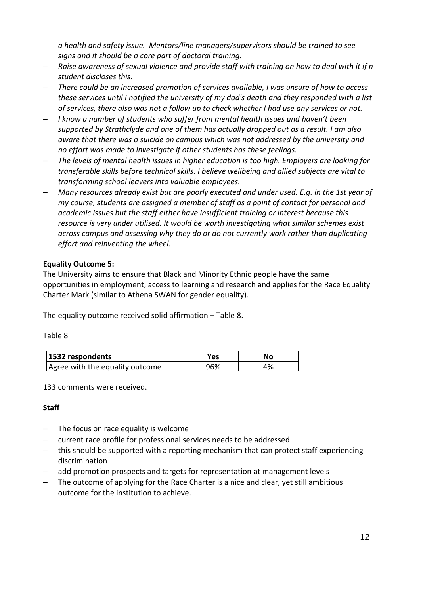*a health and safety issue. Mentors/line managers/supervisors should be trained to see signs and it should be a core part of doctoral training.* 

- *Raise awareness of sexual violence and provide staff with training on how to deal with it if n student discloses this.*
- *There could be an increased promotion of services available, I was unsure of how to access these services until I notified the university of my dad's death and they responded with a list of services, there also was not a follow up to check whether I had use any services or not.*
- *I know a number of students who suffer from mental health issues and haven't been supported by Strathclyde and one of them has actually dropped out as a result. I am also aware that there was a suicide on campus which was not addressed by the university and no effort was made to investigate if other students has these feelings.*
- *The levels of mental health issues in higher education is too high. Employers are looking for transferable skills before technical skills. I believe wellbeing and allied subjects are vital to transforming school leavers into valuable employees.*
- *Many resources already exist but are poorly executed and under used. E.g. in the 1st year of my course, students are assigned a member of staff as a point of contact for personal and academic issues but the staff either have insufficient training or interest because this resource is very under utilised. It would be worth investigating what similar schemes exist across campus and assessing why they do or do not currently work rather than duplicating effort and reinventing the wheel.*

#### **Equality Outcome 5:**

The University aims to ensure that Black and Minority Ethnic people have the same opportunities in employment, access to learning and research and applies for the Race Equality Charter Mark (similar to Athena SWAN for gender equality).

The equality outcome received solid affirmation – Table 8.

Table 8

| 1532 respondents                | Yes | No |
|---------------------------------|-----|----|
| Agree with the equality outcome | 96% | 4% |

133 comments were received.

- $-$  The focus on race equality is welcome
- current race profile for professional services needs to be addressed
- this should be supported with a reporting mechanism that can protect staff experiencing discrimination
- add promotion prospects and targets for representation at management levels
- The outcome of applying for the Race Charter is a nice and clear, yet still ambitious outcome for the institution to achieve.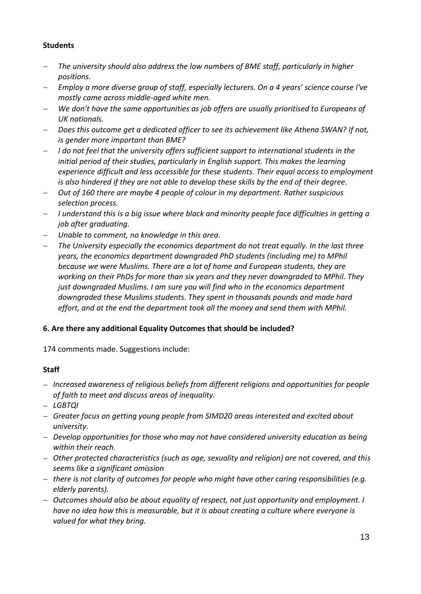### **Students**

- *The university should also address the low numbers of BME staff, particularly in higher positions.*
- *Employ a more diverse group of staff, especially lecturers. On a 4 years' science course I've mostly came across middle-aged white men.*
- *We don't have the same opportunities as job offers are usually prioritised to Europeans of UK nationals.*
- *Does this outcome get a dedicated officer to see its achievement like Athena SWAN? If not, is gender more important than BME?*
- *I do not feel that the university offers sufficient support to international students in the initial period of their studies, particularly in English support. This makes the learning experience difficult and less accessible for these students. Their equal access to employment is also hindered if they are not able to develop these skills by the end of their degree.*
- *Out of 160 there are maybe 4 people of colour in my department. Rather suspicious selection process.*
- *I understand this is a big issue where black and minority people face difficulties in getting a job after graduating.*
- *Unable to comment, no knowledge in this area.*
- *The University especially the economics department do not treat equally. In the last three years, the economics department downgraded PhD students (including me) to MPhil because we were Muslims. There are a lot of home and European students, they are working on their PhDs for more than six years and they never downgraded to MPhil. They just downgraded Muslims. I am sure you will find who in the economics department downgraded these Muslims students. They spent in thousands pounds and made hard effort, and at the end the department took all the money and send them with MPhil.*

### **6. Are there any additional Equality Outcomes that should be included?**

174 comments made. Suggestions include:

- *Increased awareness of religious beliefs from different religions and opportunities for people of faith to meet and discuss areas of inequality.*
- *LGBTQI*
- *Greater focus on getting young people from SIMD20 areas interested and excited about university.*
- *Develop opportunities for those who may not have considered university education as being within their reach.*
- *Other protected characteristics (such as age, sexuality and religion) are not covered, and this seems like a significant omission*
- *there is not clarity of outcomes for people who might have other caring responsibilities (e.g. elderly parents).*
- *Outcomes should also be about equality of respect, not just opportunity and employment. I have no idea how this is measurable, but it is about creating a culture where everyone is valued for what they bring.*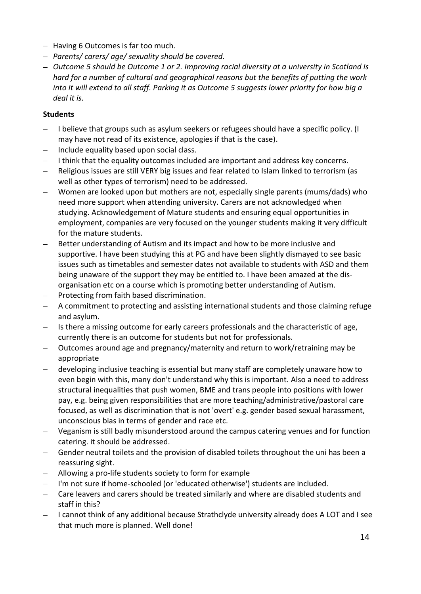- Having 6 Outcomes is far too much.
- *Parents/ carers/ age/ sexuality should be covered.*
- *Outcome 5 should be Outcome 1 or 2. Improving racial diversity at a university in Scotland is hard for a number of cultural and geographical reasons but the benefits of putting the work into it will extend to all staff. Parking it as Outcome 5 suggests lower priority for how big a deal it is.*

- I believe that groups such as asylum seekers or refugees should have a specific policy. (I may have not read of its existence, apologies if that is the case).
- Include equality based upon social class.
- I think that the equality outcomes included are important and address key concerns.
- Religious issues are still VERY big issues and fear related to Islam linked to terrorism (as well as other types of terrorism) need to be addressed.
- Women are looked upon but mothers are not, especially single parents (mums/dads) who need more support when attending university. Carers are not acknowledged when studying. Acknowledgement of Mature students and ensuring equal opportunities in employment, companies are very focused on the younger students making it very difficult for the mature students.
- Better understanding of Autism and its impact and how to be more inclusive and supportive. I have been studying this at PG and have been slightly dismayed to see basic issues such as timetables and semester dates not available to students with ASD and them being unaware of the support they may be entitled to. I have been amazed at the disorganisation etc on a course which is promoting better understanding of Autism.
- Protecting from faith based discrimination.
- A commitment to protecting and assisting international students and those claiming refuge and asylum.
- Is there a missing outcome for early careers professionals and the characteristic of age, currently there is an outcome for students but not for professionals.
- Outcomes around age and pregnancy/maternity and return to work/retraining may be appropriate
- developing inclusive teaching is essential but many staff are completely unaware how to even begin with this, many don't understand why this is important. Also a need to address structural inequalities that push women, BME and trans people into positions with lower pay, e.g. being given responsibilities that are more teaching/administrative/pastoral care focused, as well as discrimination that is not 'overt' e.g. gender based sexual harassment, unconscious bias in terms of gender and race etc.
- Veganism is still badly misunderstood around the campus catering venues and for function catering. it should be addressed.
- Gender neutral toilets and the provision of disabled toilets throughout the uni has been a reassuring sight.
- Allowing a pro-life students society to form for example
- I'm not sure if home-schooled (or 'educated otherwise') students are included.
- Care leavers and carers should be treated similarly and where are disabled students and staff in this?
- I cannot think of any additional because Strathclyde university already does A LOT and I see that much more is planned. Well done!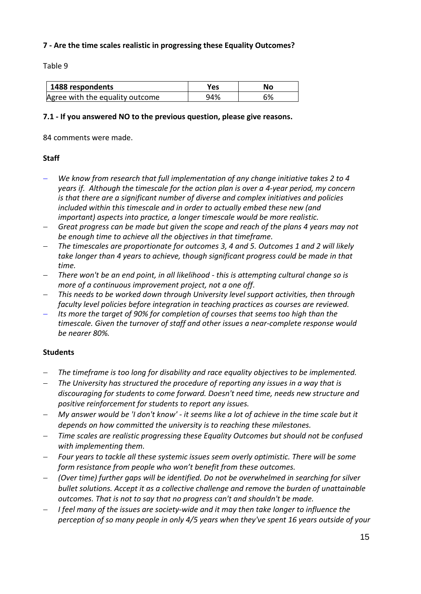### **7 - Are the time scales realistic in progressing these Equality Outcomes?**

Table 9

| 1488 respondents                | ves: | Nο |
|---------------------------------|------|----|
| Agree with the equality outcome | 94%  | 6% |

#### **7.1 - If you answered NO to the previous question, please give reasons.**

84 comments were made.

#### **Staff**

- *We know from research that full implementation of any change initiative takes 2 to 4 years if. Although the timescale for the action plan is over a 4-year period, my concern is that there are a significant number of diverse and complex initiatives and policies included within this timescale and in order to actually embed these new (and important) aspects into practice, a longer timescale would be more realistic.*
- *Great progress can be made but given the scope and reach of the plans 4 years may not be enough time to achieve all the objectives in that timeframe.*
- *The timescales are proportionate for outcomes 3, 4 and 5. Outcomes 1 and 2 will likely take longer than 4 years to achieve, though significant progress could be made in that time.*
- *There won't be an end point, in all likelihood - this is attempting cultural change so is more of a continuous improvement project, not a one off.*
- *This needs to be worked down through University level support activities, then through faculty level policies before integration in teaching practices as courses are reviewed.*
- *Its more the target of 90% for completion of courses that seems too high than the timescale. Given the turnover of staff and other issues a near-complete response would be nearer 80%.*

- *The timeframe is too long for disability and race equality objectives to be implemented.*
- *The University has structured the procedure of reporting any issues in a way that is discouraging for students to come forward. Doesn't need time, needs new structure and positive reinforcement for students to report any issues.*
- *My answer would be 'I don't know' - it seems like a lot of achieve in the time scale but it depends on how committed the university is to reaching these milestones.*
- *Time scales are realistic progressing these Equality Outcomes but should not be confused with implementing them.*
- *Four years to tackle all these systemic issues seem overly optimistic. There will be some form resistance from people who won't benefit from these outcomes.*
- *(Over time) further gaps will be identified. Do not be overwhelmed in searching for silver bullet solutions. Accept it as a collective challenge and remove the burden of unattainable outcomes. That is not to say that no progress can't and shouldn't be made.*
- *I feel many of the issues are society-wide and it may then take longer to influence the perception of so many people in only 4/5 years when they've spent 16 years outside of your*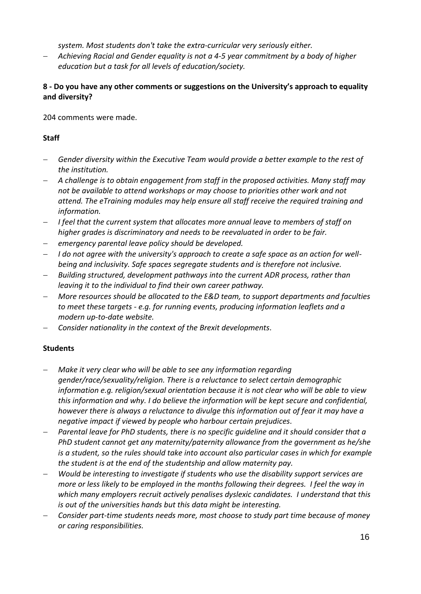*system. Most students don't take the extra-curricular very seriously either.*

 *Achieving Racial and Gender equality is not a 4-5 year commitment by a body of higher education but a task for all levels of education/society.*

### **8 - Do you have any other comments or suggestions on the University's approach to equality and diversity?**

204 comments were made.

### **Staff**

- *Gender diversity within the Executive Team would provide a better example to the rest of the institution.*
- *A challenge is to obtain engagement from staff in the proposed activities. Many staff may not be available to attend workshops or may choose to priorities other work and not attend. The eTraining modules may help ensure all staff receive the required training and information.*
- *I feel that the current system that allocates more annual leave to members of staff on higher grades is discriminatory and needs to be reevaluated in order to be fair.*
- *emergency parental leave policy should be developed.*
- *I do not agree with the university's approach to create a safe space as an action for wellbeing and inclusivity. Safe spaces segregate students and is therefore not inclusive.*
- *Building structured, development pathways into the current ADR process, rather than leaving it to the individual to find their own career pathway.*
- *More resources should be allocated to the E&D team, to support departments and faculties to meet these targets - e.g. for running events, producing information leaflets and a modern up-to-date website.*
- *Consider nationality in the context of the Brexit developments.*

- *Make it very clear who will be able to see any information regarding gender/race/sexuality/religion. There is a reluctance to select certain demographic information e.g. religion/sexual orientation because it is not clear who will be able to view this information and why. I do believe the information will be kept secure and confidential, however there is always a reluctance to divulge this information out of fear it may have a negative impact if viewed by people who harbour certain prejudices.*
- *Parental leave for PhD students, there is no specific guideline and it should consider that a PhD student cannot get any maternity/paternity allowance from the government as he/she is a student, so the rules should take into account also particular cases in which for example the student is at the end of the studentship and allow maternity pay.*
- *Would be interesting to investigate if students who use the disability support services are more or less likely to be employed in the months following their degrees. I feel the way in which many employers recruit actively penalises dyslexic candidates. I understand that this is out of the universities hands but this data might be interesting.*
- *Consider part-time students needs more, most choose to study part time because of money or caring responsibilities.*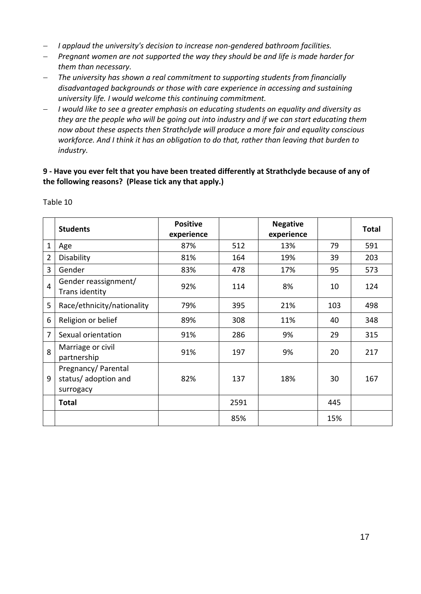- *I applaud the university's decision to increase non-gendered bathroom facilities.*
- *Pregnant women are not supported the way they should be and life is made harder for them than necessary.*
- *The university has shown a real commitment to supporting students from financially disadvantaged backgrounds or those with care experience in accessing and sustaining university life. I would welcome this continuing commitment.*
- *I would like to see a greater emphasis on educating students on equality and diversity as they are the people who will be going out into industry and if we can start educating them now about these aspects then Strathclyde will produce a more fair and equality conscious workforce. And I think it has an obligation to do that, rather than leaving that burden to industry.*

### **9 - Have you ever felt that you have been treated differently at Strathclyde because of any of the following reasons? (Please tick any that apply.)**

|                | <b>Students</b>                                          | <b>Positive</b><br>experience |      | <b>Negative</b><br>experience |     | <b>Total</b> |
|----------------|----------------------------------------------------------|-------------------------------|------|-------------------------------|-----|--------------|
| $\mathbf 1$    | Age                                                      | 87%                           | 512  | 13%                           | 79  | 591          |
| $\overline{2}$ | Disability                                               | 81%                           | 164  | 19%                           | 39  | 203          |
| 3              | Gender                                                   | 83%                           | 478  | 17%                           | 95  | 573          |
| $\overline{4}$ | Gender reassignment/<br>Trans identity                   | 92%                           | 114  | 8%                            | 10  | 124          |
| 5              | Race/ethnicity/nationality                               | 79%                           | 395  | 21%                           | 103 | 498          |
| 6              | Religion or belief                                       | 89%                           | 308  | 11%                           | 40  | 348          |
| $\overline{7}$ | Sexual orientation                                       | 91%                           | 286  | 9%                            | 29  | 315          |
| 8              | Marriage or civil<br>partnership                         | 91%                           | 197  | 9%                            | 20  | 217          |
| 9              | Pregnancy/ Parental<br>status/ adoption and<br>surrogacy | 82%                           | 137  | 18%                           | 30  | 167          |
|                | <b>Total</b>                                             |                               | 2591 |                               | 445 |              |
|                |                                                          |                               | 85%  |                               | 15% |              |

Table 10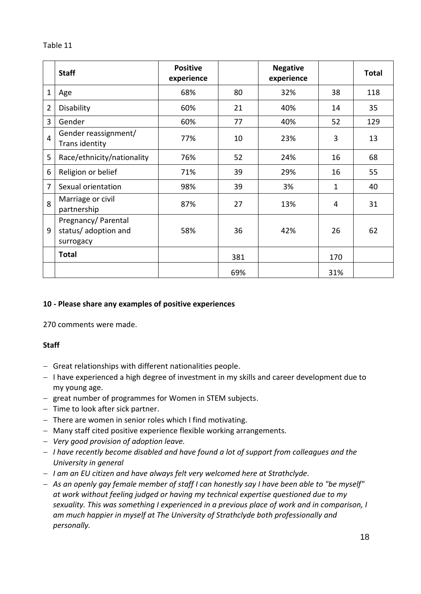### Table 11

|                | <b>Staff</b>                                             | <b>Positive</b><br>experience |     | <b>Negative</b><br>experience |     | <b>Total</b> |
|----------------|----------------------------------------------------------|-------------------------------|-----|-------------------------------|-----|--------------|
| $\mathbf{1}$   | Age                                                      | 68%                           | 80  | 32%                           | 38  | 118          |
| $\overline{2}$ | Disability                                               | 60%                           | 21  | 40%                           | 14  | 35           |
| 3              | Gender                                                   | 60%                           | 77  | 40%                           | 52  | 129          |
| $\overline{4}$ | Gender reassignment/<br>Trans identity                   | 77%                           | 10  | 23%                           | 3   | 13           |
| 5              | Race/ethnicity/nationality                               | 76%                           | 52  | 24%                           | 16  | 68           |
| 6              | Religion or belief                                       | 71%                           | 39  | 29%                           | 16  | 55           |
| 7              | Sexual orientation                                       | 98%                           | 39  | 3%                            | 1   | 40           |
| 8              | Marriage or civil<br>partnership                         | 87%                           | 27  | 13%                           | 4   | 31           |
| 9              | Pregnancy/ Parental<br>status/ adoption and<br>surrogacy | 58%                           | 36  | 42%                           | 26  | 62           |
|                | <b>Total</b>                                             |                               | 381 |                               | 170 |              |
|                |                                                          |                               | 69% |                               | 31% |              |

### **10 - Please share any examples of positive experiences**

270 comments were made.

- Great relationships with different nationalities people.
- $-$  I have experienced a high degree of investment in my skills and career development due to my young age.
- great number of programmes for Women in STEM subjects.
- $-$  Time to look after sick partner.
- There are women in senior roles which I find motivating.
- Many staff cited positive experience flexible working arrangements.
- *Very good provision of adoption leave.*
- *I have recently become disabled and have found a lot of support from colleagues and the University in general*
- *I am an EU citizen and have always felt very welcomed here at Strathclyde.*
- *As an openly gay female member of staff I can honestly say I have been able to "be myself" at work without feeling judged or having my technical expertise questioned due to my sexuality. This was something I experienced in a previous place of work and in comparison, I am much happier in myself at The University of Strathclyde both professionally and personally.*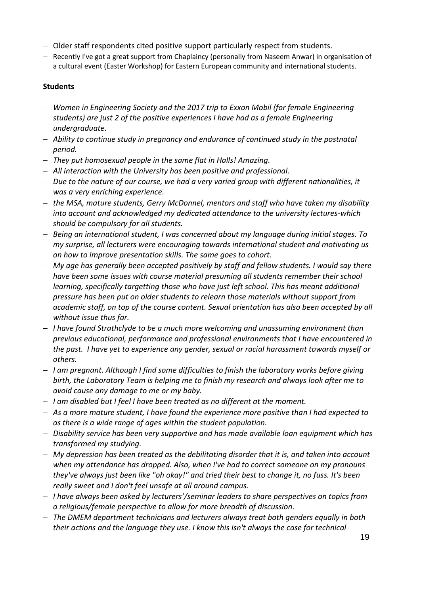- Older staff respondents cited positive support particularly respect from students.
- Recently I've got a great support from Chaplaincy (personally from Naseem Anwar) in organisation of a cultural event (Easter Workshop) for Eastern European community and international students.

- *Women in Engineering Society and the 2017 trip to Exxon Mobil (for female Engineering students) are just 2 of the positive experiences I have had as a female Engineering undergraduate.*
- *Ability to continue study in pregnancy and endurance of continued study in the postnatal period.*
- *They put homosexual people in the same flat in Halls! Amazing.*
- *All interaction with the University has been positive and professional.*
- *Due to the nature of our course, we had a very varied group with different nationalities, it was a very enriching experience.*
- *the MSA, mature students, Gerry McDonnel, mentors and staff who have taken my disability into account and acknowledged my dedicated attendance to the university lectures-which should be compulsory for all students.*
- *Being an international student, I was concerned about my language during initial stages. To my surprise, all lecturers were encouraging towards international student and motivating us on how to improve presentation skills. The same goes to cohort.*
- *My age has generally been accepted positively by staff and fellow students. I would say there have been some issues with course material presuming all students remember their school learning, specifically targetting those who have just left school. This has meant additional pressure has been put on older students to relearn those materials without support from academic staff, on top of the course content. Sexual orientation has also been accepted by all without issue thus far.*
- *I have found Strathclyde to be a much more welcoming and unassuming environment than previous educational, performance and professional environments that I have encountered in the past. I have yet to experience any gender, sexual or racial harassment towards myself or others.*
- *I am pregnant. Although I find some difficulties to finish the laboratory works before giving birth, the Laboratory Team is helping me to finish my research and always look after me to avoid cause any damage to me or my baby.*
- *I am disabled but I feel I have been treated as no different at the moment.*
- *As a more mature student, I have found the experience more positive than I had expected to as there is a wide range of ages within the student population.*
- *Disability service has been very supportive and has made available loan equipment which has transformed my studying.*
- *My depression has been treated as the debilitating disorder that it is, and taken into account when my attendance has dropped. Also, when I've had to correct someone on my pronouns they've always just been like "oh okay!" and tried their best to change it, no fuss. It's been really sweet and I don't feel unsafe at all around campus.*
- *I have always been asked by lecturers'/seminar leaders to share perspectives on topics from a religious/female perspective to allow for more breadth of discussion.*
- *The DMEM department technicians and lecturers always treat both genders equally in both their actions and the language they use. I know this isn't always the case for technical*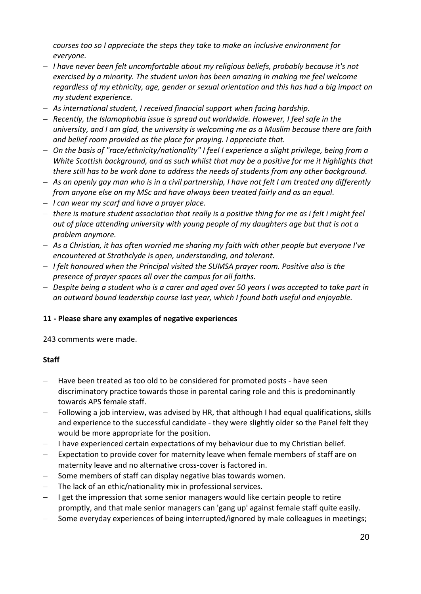*courses too so I appreciate the steps they take to make an inclusive environment for everyone.*

- *I have never been felt uncomfortable about my religious beliefs, probably because it's not exercised by a minority. The student union has been amazing in making me feel welcome regardless of my ethnicity, age, gender or sexual orientation and this has had a big impact on my student experience.*
- *As international student, I received financial support when facing hardship.*
- *Recently, the Islamophobia issue is spread out worldwide. However, I feel safe in the university, and I am glad, the university is welcoming me as a Muslim because there are faith and belief room provided as the place for praying. I appreciate that.*
- *On the basis of "race/ethnicity/nationality" I feel I experience a slight privilege, being from a White Scottish background, and as such whilst that may be a positive for me it highlights that there still has to be work done to address the needs of students from any other background.*
- *As an openly gay man who is in a civil partnership, I have not felt I am treated any differently from anyone else on my MSc and have always been treated fairly and as an equal.*
- *I can wear my scarf and have a prayer place.*
- *there is mature student association that really is a positive thing for me as i felt i might feel out of place attending university with young people of my daughters age but that is not a problem anymore.*
- *As a Christian, it has often worried me sharing my faith with other people but everyone I've encountered at Strathclyde is open, understanding, and tolerant.*
- *I felt honoured when the Principal visited the SUMSA prayer room. Positive also is the presence of prayer spaces all over the campus for all faiths.*
- *Despite being a student who is a carer and aged over 50 years I was accepted to take part in an outward bound leadership course last year, which I found both useful and enjoyable.*

### **11 - Please share any examples of negative experiences**

243 comments were made.

- Have been treated as too old to be considered for promoted posts have seen discriminatory practice towards those in parental caring role and this is predominantly towards APS female staff.
- Following a job interview, was advised by HR, that although I had equal qualifications, skills and experience to the successful candidate - they were slightly older so the Panel felt they would be more appropriate for the position.
- I have experienced certain expectations of my behaviour due to my Christian belief.
- Expectation to provide cover for maternity leave when female members of staff are on maternity leave and no alternative cross-cover is factored in.
- Some members of staff can display negative bias towards women.
- The lack of an ethic/nationality mix in professional services.
- I get the impression that some senior managers would like certain people to retire promptly, and that male senior managers can 'gang up' against female staff quite easily.
- Some everyday experiences of being interrupted/ignored by male colleagues in meetings;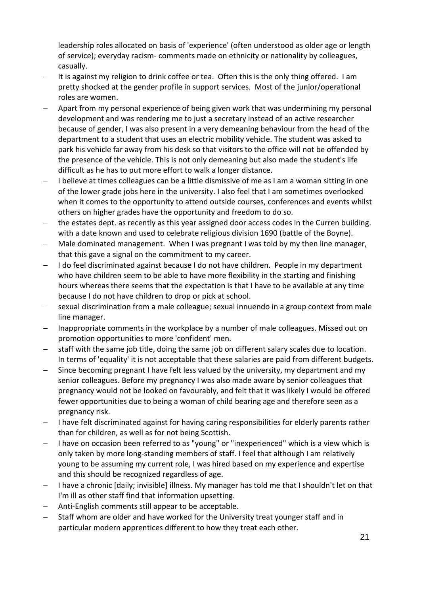leadership roles allocated on basis of 'experience' (often understood as older age or length of service); everyday racism- comments made on ethnicity or nationality by colleagues, casually.

- It is against my religion to drink coffee or tea. Often this is the only thing offered. I am pretty shocked at the gender profile in support services. Most of the junior/operational roles are women.
- Apart from my personal experience of being given work that was undermining my personal development and was rendering me to just a secretary instead of an active researcher because of gender, I was also present in a very demeaning behaviour from the head of the department to a student that uses an electric mobility vehicle. The student was asked to park his vehicle far away from his desk so that visitors to the office will not be offended by the presence of the vehicle. This is not only demeaning but also made the student's life difficult as he has to put more effort to walk a longer distance.
- $-$  I believe at times colleagues can be a little dismissive of me as I am a woman sitting in one of the lower grade jobs here in the university. I also feel that I am sometimes overlooked when it comes to the opportunity to attend outside courses, conferences and events whilst others on higher grades have the opportunity and freedom to do so.
- the estates dept. as recently as this year assigned door access codes in the Curren building. with a date known and used to celebrate religious division 1690 (battle of the Boyne).
- Male dominated management. When I was pregnant I was told by my then line manager, that this gave a signal on the commitment to my career.
- I do feel discriminated against because I do not have children. People in my department who have children seem to be able to have more flexibility in the starting and finishing hours whereas there seems that the expectation is that I have to be available at any time because I do not have children to drop or pick at school.
- sexual discrimination from a male colleague; sexual innuendo in a group context from male line manager.
- Inappropriate comments in the workplace by a number of male colleagues. Missed out on promotion opportunities to more 'confident' men.
- staff with the same job title, doing the same job on different salary scales due to location. In terms of 'equality' it is not acceptable that these salaries are paid from different budgets.
- Since becoming pregnant I have felt less valued by the university, my department and my senior colleagues. Before my pregnancy I was also made aware by senior colleagues that pregnancy would not be looked on favourably, and felt that it was likely I would be offered fewer opportunities due to being a woman of child bearing age and therefore seen as a pregnancy risk.
- I have felt discriminated against for having caring responsibilities for elderly parents rather than for children, as well as for not being Scottish.
- I have on occasion been referred to as "young" or "inexperienced" which is a view which is only taken by more long-standing members of staff. I feel that although I am relatively young to be assuming my current role, I was hired based on my experience and expertise and this should be recognized regardless of age.
- I have a chronic [daily; invisible] illness. My manager has told me that I shouldn't let on that I'm ill as other staff find that information upsetting.
- Anti-English comments still appear to be acceptable.
- Staff whom are older and have worked for the University treat younger staff and in particular modern apprentices different to how they treat each other.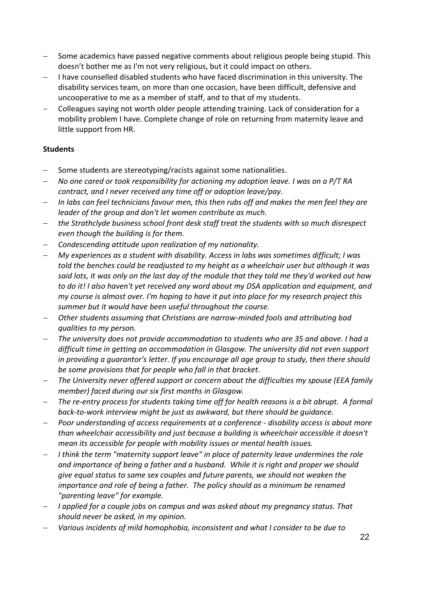- Some academics have passed negative comments about religious people being stupid. This doesn't bother me as I'm not very religious, but it could impact on others.
- I have counselled disabled students who have faced discrimination in this university. The disability services team, on more than one occasion, have been difficult, defensive and uncooperative to me as a member of staff, and to that of my students.
- Colleagues saying not worth older people attending training. Lack of consideration for a mobility problem I have. Complete change of role on returning from maternity leave and little support from HR.

- Some students are stereotyping/racists against some nationalities.
- *No one cared or took responsibility for actioning my adoption leave. I was on a P/T RA contract, and I never received any time off or adoption leave/pay.*
- *In labs can feel technicians favour men, this then rubs off and makes the men feel they are leader of the group and don't let women contribute as much.*
- *the Strathclyde business school front desk staff treat the students with so much disrespect even though the building is for them.*
- *Condescending attitude upon realization of my nationality.*
- *My experiences as a student with disability. Access in labs was sometimes difficult; I was told the benches could be readjusted to my height as a wheelchair user but although it was said lots, it was only on the last day of the module that they told me they'd worked out how to do it! I also haven't yet received any word about my DSA application and equipment, and my course is almost over. I'm hoping to have it put into place for my research project this summer but it would have been useful throughout the course.*
- *Other students assuming that Christians are narrow-minded fools and attributing bad qualities to my person.*
- *The university does not provide accommodation to students who are 35 and above. I had a difficult time in getting an accommodation in Glasgow. The university did not even support in providing a guarantor's letter. If you encourage all age group to study, then there should be some provisions that for people who fall in that bracket.*
- *The University never offered support or concern about the difficulties my spouse (EEA family member) faced during our six first months in Glasgow.*
- *The re-entry process for students taking time off for health reasons is a bit abrupt. A formal back-to-work interview might be just as awkward, but there should be guidance.*
- *Poor understanding of access requirements at a conference - disability access is about more than wheelchair accessibility and just because a building is wheelchair accessible it doesn't mean its accessible for people with mobility issues or mental health issues.*
- *I think the term "maternity support leave" in place of paternity leave undermines the role and importance of being a father and a husband. While it is right and proper we should give equal status to same sex couples and future parents, we should not weaken the importance and role of being a father. The policy should as a minimum be renamed "parenting leave" for example.*
- *I applied for a couple jobs on campus and was asked about my pregnancy status. That should never be asked, in my opinion.*
- *Various incidents of mild homophobia, inconsistent and what I consider to be due to*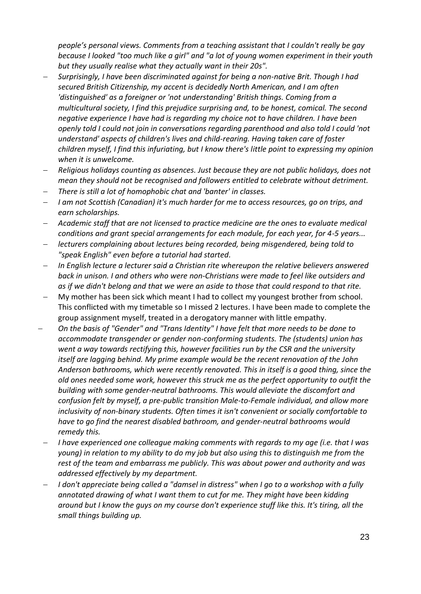*people's personal views. Comments from a teaching assistant that I couldn't really be gay because I looked "too much like a girl" and "a lot of young women experiment in their youth but they usually realise what they actually want in their 20s".*

- *Surprisingly, I have been discriminated against for being a non-native Brit. Though I had secured British Citizenship, my accent is decidedly North American, and I am often 'distinguished' as a foreigner or 'not understanding' British things. Coming from a multicultural society, I find this prejudice surprising and, to be honest, comical. The second negative experience I have had is regarding my choice not to have children. I have been openly told I could not join in conversations regarding parenthood and also told I could 'not understand' aspects of children's lives and child-rearing. Having taken care of foster children myself, I find this infuriating, but I know there's little point to expressing my opinion when it is unwelcome.*
- *Religious holidays counting as absences. Just because they are not public holidays, does not mean they should not be recognised and followers entitled to celebrate without detriment.*
- *There is still a lot of homophobic chat and 'banter' in classes.*
- *I am not Scottish (Canadian) it's much harder for me to access resources, go on trips, and earn scholarships.*
- *Academic staff that are not licensed to practice medicine are the ones to evaluate medical conditions and grant special arrangements for each module, for each year, for 4-5 years...*
- *lecturers complaining about lectures being recorded, being misgendered, being told to "speak English" even before a tutorial had started.*
- *In English lecture a lecturer said a Christian rite whereupon the relative believers answered back in unison. I and others who were non-Christians were made to feel like outsiders and as if we didn't belong and that we were an aside to those that could respond to that rite.*
- My mother has been sick which meant I had to collect my youngest brother from school. This conflicted with my timetable so I missed 2 lectures. I have been made to complete the group assignment myself, treated in a derogatory manner with little empathy.
- *On the basis of "Gender" and "Trans Identity" I have felt that more needs to be done to accommodate transgender or gender non-conforming students. The (students) union has went a way towards rectifying this, however facilities run by the CSR and the university itself are lagging behind. My prime example would be the recent renovation of the John Anderson bathrooms, which were recently renovated. This in itself is a good thing, since the old ones needed some work, however this struck me as the perfect opportunity to outfit the building with some gender-neutral bathrooms. This would alleviate the discomfort and confusion felt by myself, a pre-public transition Male-to-Female individual, and allow more inclusivity of non-binary students. Often times it isn't convenient or socially comfortable to have to go find the nearest disabled bathroom, and gender-neutral bathrooms would remedy this.*
- *I have experienced one colleague making comments with regards to my age (i.e. that I was young) in relation to my ability to do my job but also using this to distinguish me from the rest of the team and embarrass me publicly. This was about power and authority and was addressed effectively by my department.*
- *I don't appreciate being called a "damsel in distress" when I go to a workshop with a fully annotated drawing of what I want them to cut for me. They might have been kidding around but I know the guys on my course don't experience stuff like this. It's tiring, all the small things building up.*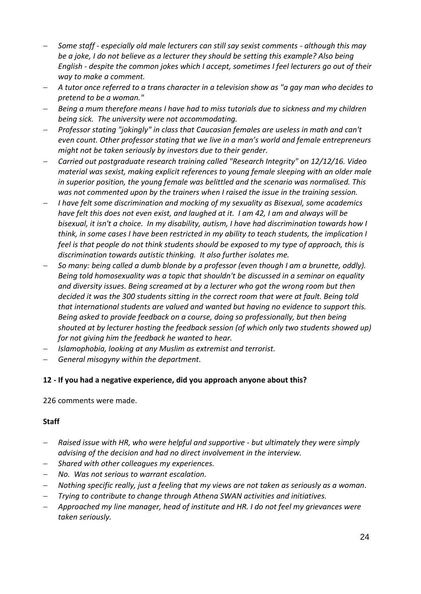- *Some staff - especially old male lecturers can still say sexist comments - although this may be a joke, I do not believe as a lecturer they should be setting this example? Also being English - despite the common jokes which I accept, sometimes I feel lecturers go out of their way to make a comment.*
- *A tutor once referred to a trans character in a television show as "a gay man who decides to pretend to be a woman."*
- *Being a mum therefore means I have had to miss tutorials due to sickness and my children being sick. The university were not accommodating.*
- *Professor stating "jokingly" in class that Caucasian females are useless in math and can't even count. Other professor stating that we live in a man's world and female entrepreneurs might not be taken seriously by investors due to their gender.*
- *Carried out postgraduate research training called "Research Integrity" on 12/12/16. Video material was sexist, making explicit references to young female sleeping with an older male in superior position, the young female was belittled and the scenario was normalised. This was not commented upon by the trainers when I raised the issue in the training session.*
- *I have felt some discrimination and mocking of my sexuality as Bisexual, some academics have felt this does not even exist, and laughed at it. I am 42, I am and always will be bisexual, it isn't a choice. In my disability, autism, I have had discrimination towards how I think, in some cases I have been restricted in my ability to teach students, the implication I feel is that people do not think students should be exposed to my type of approach, this is discrimination towards autistic thinking. It also further isolates me.*
- *So many: being called a dumb blonde by a professor (even though I am a brunette, oddly). Being told homosexuality was a topic that shouldn't be discussed in a seminar on equality and diversity issues. Being screamed at by a lecturer who got the wrong room but then decided it was the 300 students sitting in the correct room that were at fault. Being told that international students are valued and wanted but having no evidence to support this. Being asked to provide feedback on a course, doing so professionally, but then being shouted at by lecturer hosting the feedback session (of which only two students showed up) for not giving him the feedback he wanted to hear.*
- *Islamophobia, looking at any Muslim as extremist and terrorist.*
- *General misogyny within the department.*

### **12 - If you had a negative experience, did you approach anyone about this?**

226 comments were made.

- *Raised issue with HR, who were helpful and supportive - but ultimately they were simply advising of the decision and had no direct involvement in the interview.*
- *Shared with other colleagues my experiences.*
- *No. Was not serious to warrant escalation.*
- *Nothing specific really, just a feeling that my views are not taken as seriously as a woman.*
- *Trying to contribute to change through Athena SWAN activities and initiatives.*
- *Approached my line manager, head of institute and HR. I do not feel my grievances were taken seriously.*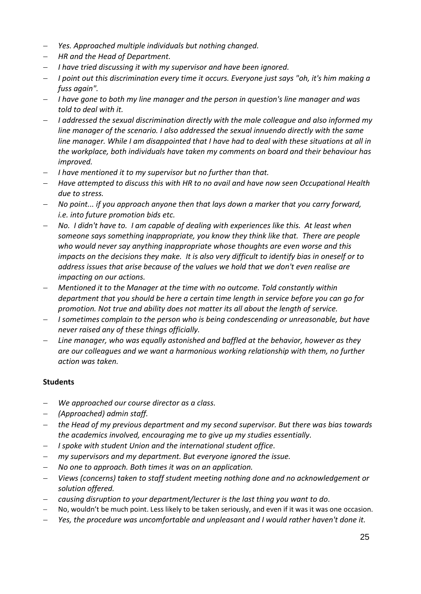- *Yes. Approached multiple individuals but nothing changed.*
- *HR and the Head of Department.*
- *I have tried discussing it with my supervisor and have been ignored.*
- *I point out this discrimination every time it occurs. Everyone just says "oh, it's him making a fuss again".*
- *I have gone to both my line manager and the person in question's line manager and was told to deal with it.*
- *I addressed the sexual discrimination directly with the male colleague and also informed my line manager of the scenario. I also addressed the sexual innuendo directly with the same line manager. While I am disappointed that I have had to deal with these situations at all in the workplace, both individuals have taken my comments on board and their behaviour has improved.*
- *I have mentioned it to my supervisor but no further than that.*
- *Have attempted to discuss this with HR to no avail and have now seen Occupational Health due to stress.*
- *No point... if you approach anyone then that lays down a marker that you carry forward, i.e. into future promotion bids etc.*
- *No. I didn't have to. I am capable of dealing with experiences like this. At least when someone says something inappropriate, you know they think like that. There are people who would never say anything inappropriate whose thoughts are even worse and this impacts on the decisions they make. It is also very difficult to identify bias in oneself or to address issues that arise because of the values we hold that we don't even realise are impacting on our actions.*
- *Mentioned it to the Manager at the time with no outcome. Told constantly within department that you should be here a certain time length in service before you can go for promotion. Not true and ability does not matter its all about the length of service.*
- *I sometimes complain to the person who is being condescending or unreasonable, but have never raised any of these things officially.*
- *Line manager, who was equally astonished and baffled at the behavior, however as they are our colleagues and we want a harmonious working relationship with them, no further action was taken.*

- *We approached our course director as a class.*
- *(Approached) admin staff.*
- *the Head of my previous department and my second supervisor. But there was bias towards the academics involved, encouraging me to give up my studies essentially.*
- *I spoke with student Union and the international student office.*
- *my supervisors and my department. But everyone ignored the issue.*
- *No one to approach. Both times it was on an application.*
- *Views (concerns) taken to staff student meeting nothing done and no acknowledgement or solution offered.*
- *causing disruption to your department/lecturer is the last thing you want to do.*
- No, wouldn't be much point. Less likely to be taken seriously, and even if it was it was one occasion.
- *Yes, the procedure was uncomfortable and unpleasant and I would rather haven't done it.*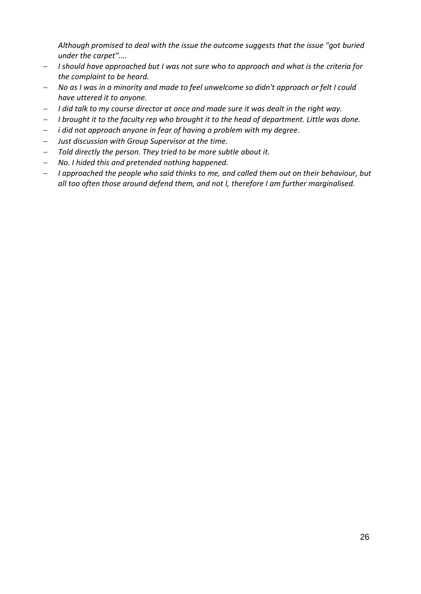*Although promised to deal with the issue the outcome suggests that the issue "got buried under the carpet"....*

- *I should have approached but I was not sure who to approach and what is the criteria for the complaint to be heard.*
- *No as I was in a minority and made to feel unwelcome so didn't approach or felt I could have uttered it to anyone.*
- *I did talk to my course director at once and made sure it was dealt in the right way.*
- *I brought it to the faculty rep who brought it to the head of department. Little was done.*
- *i did not approach anyone in fear of having a problem with my degree.*
- *Just discussion with Group Supervisor at the time.*
- *Told directly the person. They tried to be more subtle about it.*
- *No. I hided this and pretended nothing happened.*
- *I approached the people who said thinks to me, and called them out on their behaviour, but all too often those around defend them, and not I, therefore I am further marginalised.*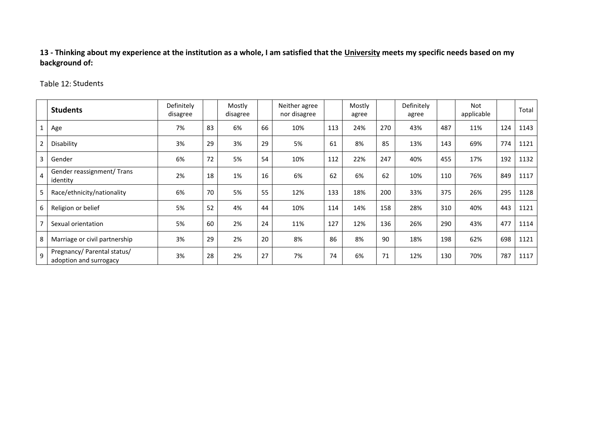**13 - Thinking about my experience at the institution as a whole, I am satisfied that the University meets my specific needs based on my background of:**

Table 12: Students

|                | <b>Students</b>                                       | Definitely<br>disagree |    | Mostly<br>disagree |    | Neither agree<br>nor disagree |     | Mostly<br>agree |     | Definitely<br>agree |     | Not<br>applicable |     | Total |
|----------------|-------------------------------------------------------|------------------------|----|--------------------|----|-------------------------------|-----|-----------------|-----|---------------------|-----|-------------------|-----|-------|
|                | Age                                                   | 7%                     | 83 | 6%                 | 66 | 10%                           | 113 | 24%             | 270 | 43%                 | 487 | 11%               | 124 | 1143  |
| $\overline{2}$ | Disability                                            | 3%                     | 29 | 3%                 | 29 | 5%                            | 61  | 8%              | 85  | 13%                 | 143 | 69%               | 774 | 1121  |
| 3              | Gender                                                | 6%                     | 72 | 5%                 | 54 | 10%                           | 112 | 22%             | 247 | 40%                 | 455 | 17%               | 192 | 1132  |
| $\overline{4}$ | Gender reassignment/Trans<br>identity                 | 2%                     | 18 | 1%                 | 16 | 6%                            | 62  | 6%              | 62  | 10%                 | 110 | 76%               | 849 | 1117  |
| 5              | Race/ethnicity/nationality                            | 6%                     | 70 | 5%                 | 55 | 12%                           | 133 | 18%             | 200 | 33%                 | 375 | 26%               | 295 | 1128  |
| 6              | Religion or belief                                    | 5%                     | 52 | 4%                 | 44 | 10%                           | 114 | 14%             | 158 | 28%                 | 310 | 40%               | 443 | 1121  |
| $\overline{7}$ | Sexual orientation                                    | 5%                     | 60 | 2%                 | 24 | 11%                           | 127 | 12%             | 136 | 26%                 | 290 | 43%               | 477 | 1114  |
| 8              | Marriage or civil partnership                         | 3%                     | 29 | 2%                 | 20 | 8%                            | 86  | 8%              | 90  | 18%                 | 198 | 62%               | 698 | 1121  |
| 9              | Pregnancy/ Parental status/<br>adoption and surrogacy | 3%                     | 28 | 2%                 | 27 | 7%                            | 74  | 6%              | 71  | 12%                 | 130 | 70%               | 787 | 1117  |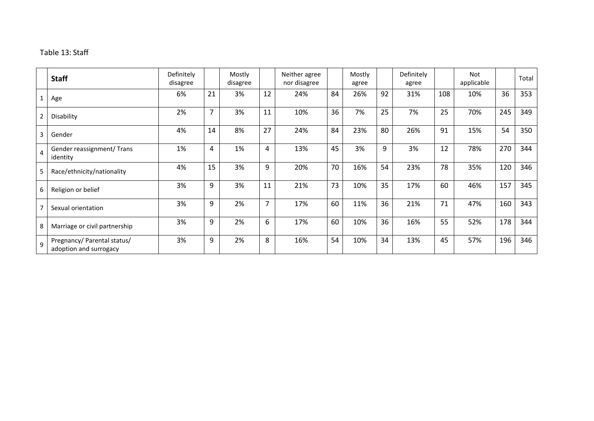### Table 13: Staff

|   | <b>Staff</b>                                          | Definitely<br>disagree |                | Mostly<br>disagree |    | Neither agree<br>nor disagree |    | Mostly<br>agree |    | Definitely<br>agree |     | Not<br>applicable |     | Total |
|---|-------------------------------------------------------|------------------------|----------------|--------------------|----|-------------------------------|----|-----------------|----|---------------------|-----|-------------------|-----|-------|
|   | Age                                                   | 6%                     | 21             | 3%                 | 12 | 24%                           | 84 | 26%             | 92 | 31%                 | 108 | 10%               | 36  | 353   |
| 2 | Disability                                            | 2%                     | $\overline{7}$ | 3%                 | 11 | 10%                           | 36 | 7%              | 25 | 7%                  | 25  | 70%               | 245 | 349   |
| 3 | Gender                                                | 4%                     | 14             | 8%                 | 27 | 24%                           | 84 | 23%             | 80 | 26%                 | 91  | 15%               | 54  | 350   |
| 4 | Gender reassignment/ Trans<br>identity                | 1%                     | 4              | 1%                 | 4  | 13%                           | 45 | 3%              | 9  | 3%                  | 12  | 78%               | 270 | 344   |
| 5 | Race/ethnicity/nationality                            | 4%                     | 15             | 3%                 | 9  | 20%                           | 70 | 16%             | 54 | 23%                 | 78  | 35%               | 120 | 346   |
| 6 | Religion or belief                                    | 3%                     | 9              | 3%                 | 11 | 21%                           | 73 | 10%             | 35 | 17%                 | 60  | 46%               | 157 | 345   |
|   | Sexual orientation                                    | 3%                     | 9              | 2%                 | 7  | 17%                           | 60 | 11%             | 36 | 21%                 | 71  | 47%               | 160 | 343   |
| 8 | Marriage or civil partnership                         | 3%                     | 9              | 2%                 | 6  | 17%                           | 60 | 10%             | 36 | 16%                 | 55  | 52%               | 178 | 344   |
| q | Pregnancy/ Parental status/<br>adoption and surrogacy | 3%                     | 9              | 2%                 | 8  | 16%                           | 54 | 10%             | 34 | 13%                 | 45  | 57%               | 196 | 346   |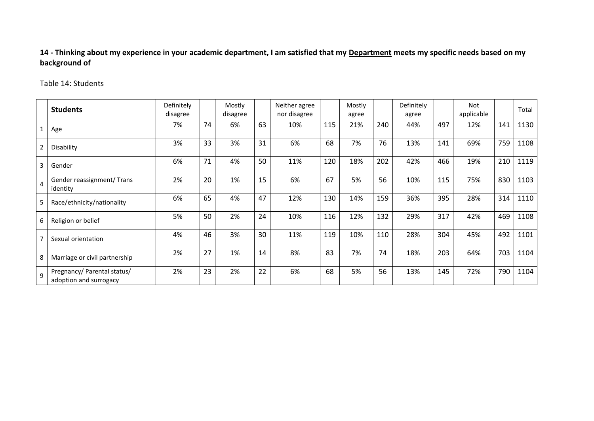**14 - Thinking about my experience in your academic department, I am satisfied that my Department meets my specific needs based on my background of**

#### Table 14: Students

|                | <b>Students</b>                                       | Definitely<br>disagree |    | Mostly<br>disagree |    | Neither agree<br>nor disagree |     | Mostly<br>agree |     | Definitely<br>agree |     | <b>Not</b><br>applicable |     | Total |
|----------------|-------------------------------------------------------|------------------------|----|--------------------|----|-------------------------------|-----|-----------------|-----|---------------------|-----|--------------------------|-----|-------|
|                | Age                                                   | 7%                     | 74 | 6%                 | 63 | 10%                           | 115 | 21%             | 240 | 44%                 | 497 | 12%                      | 141 | 1130  |
| $\overline{2}$ | Disability                                            | 3%                     | 33 | 3%                 | 31 | 6%                            | 68  | 7%              | 76  | 13%                 | 141 | 69%                      | 759 | 1108  |
| 3              | Gender                                                | 6%                     | 71 | 4%                 | 50 | 11%                           | 120 | 18%             | 202 | 42%                 | 466 | 19%                      | 210 | 1119  |
| $\overline{4}$ | Gender reassignment/ Trans<br>identity                | 2%                     | 20 | 1%                 | 15 | 6%                            | 67  | 5%              | 56  | 10%                 | 115 | 75%                      | 830 | 1103  |
| 5              | Race/ethnicity/nationality                            | 6%                     | 65 | 4%                 | 47 | 12%                           | 130 | 14%             | 159 | 36%                 | 395 | 28%                      | 314 | 1110  |
| 6              | Religion or belief                                    | 5%                     | 50 | 2%                 | 24 | 10%                           | 116 | 12%             | 132 | 29%                 | 317 | 42%                      | 469 | 1108  |
| $\overline{7}$ | Sexual orientation                                    | 4%                     | 46 | 3%                 | 30 | 11%                           | 119 | 10%             | 110 | 28%                 | 304 | 45%                      | 492 | 1101  |
| 8              | Marriage or civil partnership                         | 2%                     | 27 | 1%                 | 14 | 8%                            | 83  | 7%              | 74  | 18%                 | 203 | 64%                      | 703 | 1104  |
| $\mathsf{q}$   | Pregnancy/ Parental status/<br>adoption and surrogacy | 2%                     | 23 | 2%                 | 22 | 6%                            | 68  | 5%              | 56  | 13%                 | 145 | 72%                      | 790 | 1104  |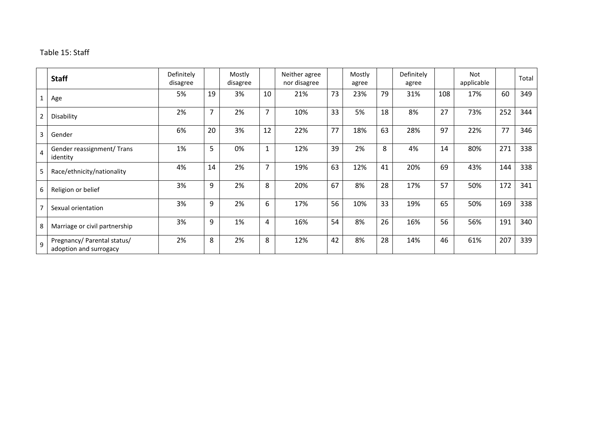### Table 15: Staff

|   | <b>Staff</b>                                          | Definitely<br>disagree |                | Mostly<br>disagree |    | Neither agree<br>nor disagree |    | Mostly<br>agree |    | Definitely<br>agree |     | Not<br>applicable |     | Total |
|---|-------------------------------------------------------|------------------------|----------------|--------------------|----|-------------------------------|----|-----------------|----|---------------------|-----|-------------------|-----|-------|
|   | Age                                                   | 5%                     | 19             | 3%                 | 10 | 21%                           | 73 | 23%             | 79 | 31%                 | 108 | 17%               | 60  | 349   |
| 2 | Disability                                            | 2%                     | $\overline{7}$ | 2%                 | 7  | 10%                           | 33 | 5%              | 18 | 8%                  | 27  | 73%               | 252 | 344   |
| 3 | Gender                                                | 6%                     | 20             | 3%                 | 12 | 22%                           | 77 | 18%             | 63 | 28%                 | 97  | 22%               | 77  | 346   |
| 4 | Gender reassignment/ Trans<br>identity                | 1%                     | 5              | 0%                 | 1  | 12%                           | 39 | 2%              | 8  | 4%                  | 14  | 80%               | 271 | 338   |
| 5 | Race/ethnicity/nationality                            | 4%                     | 14             | 2%                 | 7  | 19%                           | 63 | 12%             | 41 | 20%                 | 69  | 43%               | 144 | 338   |
| 6 | Religion or belief                                    | 3%                     | 9              | 2%                 | 8  | 20%                           | 67 | 8%              | 28 | 17%                 | 57  | 50%               | 172 | 341   |
|   | Sexual orientation                                    | 3%                     | 9              | 2%                 | 6  | 17%                           | 56 | 10%             | 33 | 19%                 | 65  | 50%               | 169 | 338   |
| 8 | Marriage or civil partnership                         | 3%                     | 9              | 1%                 | 4  | 16%                           | 54 | 8%              | 26 | 16%                 | 56  | 56%               | 191 | 340   |
| 9 | Pregnancy/ Parental status/<br>adoption and surrogacy | 2%                     | 8              | 2%                 | 8  | 12%                           | 42 | 8%              | 28 | 14%                 | 46  | 61%               | 207 | 339   |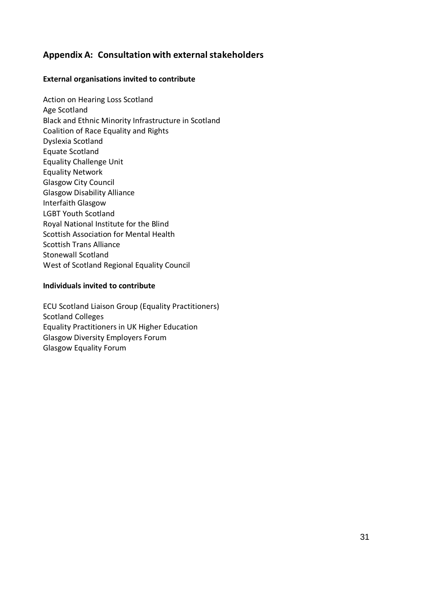## <span id="page-30-0"></span>**Appendix A: Consultation with externalstakeholders**

### **External organisations invited to contribute**

Action on Hearing Loss Scotland Age Scotland Black and Ethnic Minority Infrastructure in Scotland Coalition of Race Equality and Rights Dyslexia Scotland Equate Scotland Equality Challenge Unit Equality Network Glasgow City Council Glasgow Disability Alliance Interfaith Glasgow LGBT Youth Scotland Royal National Institute for the Blind Scottish Association for Mental Health Scottish Trans Alliance Stonewall Scotland West of Scotland Regional Equality Council

#### **Individuals invited to contribute**

ECU Scotland Liaison Group (Equality Practitioners) Scotland Colleges Equality Practitioners in UK Higher Education Glasgow Diversity Employers Forum Glasgow Equality Forum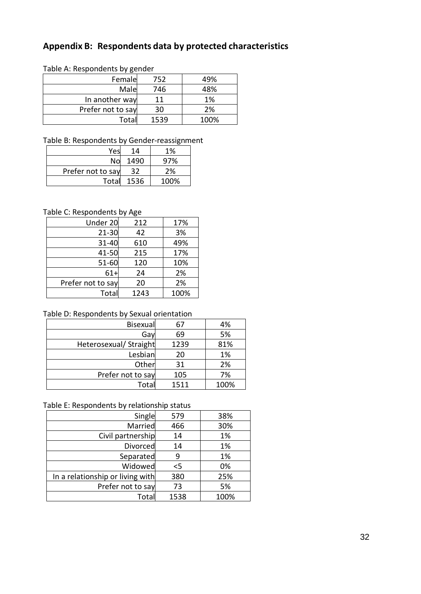## <span id="page-31-0"></span>**Appendix B: Respondents data by protected characteristics**

#### Table A: Respondents by gender

| Female            | 752  | 49%  |
|-------------------|------|------|
| Male              | 746  | 48%  |
| In another way    | 11   | 1%   |
| Prefer not to say | 30   | 2%   |
| Total             | 1539 | 100% |

### Table B: Respondents by Gender-reassignment

| Yes               | 14   | 1%   |
|-------------------|------|------|
| Nol               | 1490 | 97%  |
| Prefer not to say | 32   | 2%   |
| Total             | 1536 | 100% |

### Table C: Respondents by Age

| Under 20          | 212  | 17%  |
|-------------------|------|------|
| $21 - 30$         | 42   | 3%   |
| 31-40             | 610  | 49%  |
| 41-50             | 215  | 17%  |
| $51 - 60$         | 120  | 10%  |
| $61+$             | 24   | 2%   |
| Prefer not to say | 20   | 2%   |
| Total             | 1243 | 100% |

### Table D: Respondents by Sexual orientation

| Bisexual               | 67   | 4%   |
|------------------------|------|------|
| Gay                    | 69   | 5%   |
| Heterosexual/ Straight | 1239 | 81%  |
| Lesbian                | 20   | 1%   |
| Other                  | 31   | 2%   |
| Prefer not to say      | 105  | 7%   |
| Tota                   | 1511 | 100% |

#### Table E: Respondents by relationship status

| Single                           | 579   | 38%  |
|----------------------------------|-------|------|
| Married                          | 466   | 30%  |
| Civil partnership                | 14    | 1%   |
| <b>Divorced</b>                  | 14    | 1%   |
| Separated                        | 9     | 1%   |
| Widowed                          | $<$ 5 | 0%   |
| In a relationship or living with | 380   | 25%  |
| Prefer not to say                | 73    | 5%   |
| Total                            | 1538  | 100% |